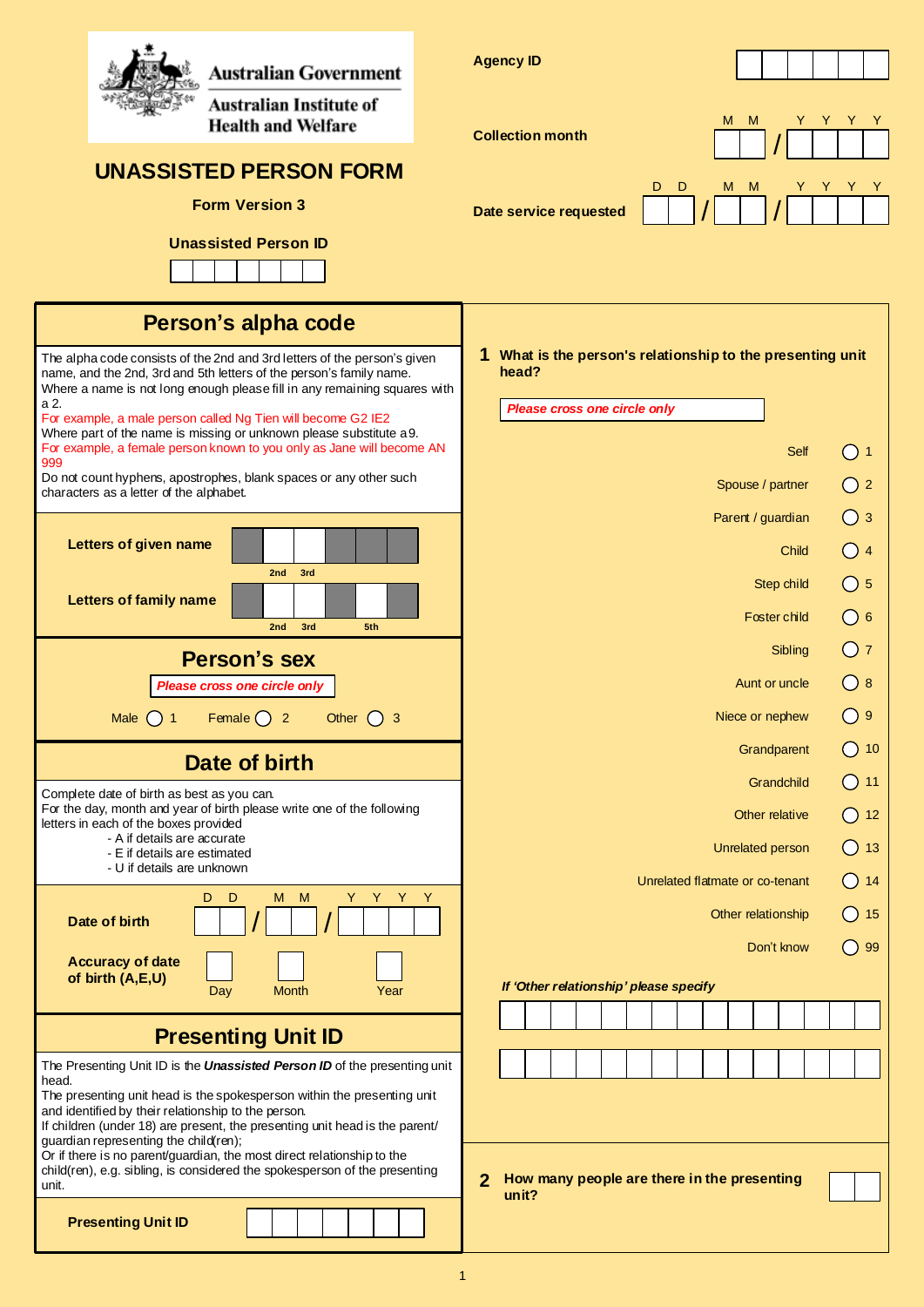| Australian Government                                                                                                                                                                                                        | <b>Agency ID</b>                                                       |  |  |
|------------------------------------------------------------------------------------------------------------------------------------------------------------------------------------------------------------------------------|------------------------------------------------------------------------|--|--|
| Australian Institute of<br><b>Health and Welfare</b>                                                                                                                                                                         | M<br>M<br>Y<br>Y<br>Y<br><b>Collection month</b>                       |  |  |
| <b>UNASSISTED PERSON FORM</b>                                                                                                                                                                                                | D<br>D<br>M<br>M<br>Y                                                  |  |  |
| <b>Form Version 3</b>                                                                                                                                                                                                        | Date service requested                                                 |  |  |
| <b>Unassisted Person ID</b>                                                                                                                                                                                                  |                                                                        |  |  |
|                                                                                                                                                                                                                              |                                                                        |  |  |
| Person's alpha code                                                                                                                                                                                                          |                                                                        |  |  |
| The alpha code consists of the 2nd and 3rd letters of the person's given<br>name, and the 2nd, 3rd and 5th letters of the person's family name.<br>Where a name is not long enough please fill in any remaining squares with | 1 What is the person's relationship to the presenting unit<br>head?    |  |  |
| a 2.<br>For example, a male person called Ng Tien will become G2 IE2<br>Where part of the name is missing or unknown please substitute a 9.                                                                                  | Please cross one circle only                                           |  |  |
| For example, a female person known to you only as Jane will become AN<br>999                                                                                                                                                 | Self<br>()1                                                            |  |  |
| Do not count hyphens, apostrophes, blank spaces or any other such<br>characters as a letter of the alphabet.                                                                                                                 | $\bigcirc$ 2<br>Spouse / partner                                       |  |  |
|                                                                                                                                                                                                                              | $\bigcirc$ 3<br>Parent / guardian                                      |  |  |
| Letters of given name<br>2nd<br>3rd                                                                                                                                                                                          | O <sub>4</sub><br>Child                                                |  |  |
| <b>Letters of family name</b>                                                                                                                                                                                                | $\bigcirc$ 5<br>Step child                                             |  |  |
| 2nd<br>3rd<br>5th                                                                                                                                                                                                            | $\bigcirc$ 6<br>Foster child                                           |  |  |
| <b>Person's sex</b>                                                                                                                                                                                                          | O <sub>7</sub><br>Sibling                                              |  |  |
| Please cross one circle only                                                                                                                                                                                                 | ()8<br>Aunt or uncle<br>( ) 9<br>Niece or nephew                       |  |  |
| Female $\bigcirc$ 2<br>Other $()$ 3<br><b>Male</b><br>$($ ) 1                                                                                                                                                                | Grandparent<br>()10                                                    |  |  |
| Date of birth                                                                                                                                                                                                                | ()11<br>Grandchild                                                     |  |  |
| Complete date of birth as best as you can.<br>For the day, month and year of birth please write one of the following<br>letters in each of the boxes provided                                                                | $\bigcirc$ 12<br>Other relative                                        |  |  |
| - A if details are accurate<br>- E if details are estimated                                                                                                                                                                  | $\bigcirc$ 13<br>Unrelated person                                      |  |  |
| - U if details are unknown                                                                                                                                                                                                   | $\bigcirc$ 14<br>Unrelated flatmate or co-tenant                       |  |  |
| Y Y Y<br>D<br>D<br>M M<br>Y.<br>Date of birth                                                                                                                                                                                | $\bigcirc$ 15<br>Other relationship                                    |  |  |
| <b>Accuracy of date</b><br>of birth (A,E,U)                                                                                                                                                                                  | $\bigcirc$ 99<br>Don't know                                            |  |  |
| <b>Month</b><br>Day<br>Year                                                                                                                                                                                                  | If 'Other relationship' please specify                                 |  |  |
| <b>Presenting Unit ID</b>                                                                                                                                                                                                    |                                                                        |  |  |
| The Presenting Unit ID is the <b>Unassisted Person ID</b> of the presenting unit<br>head.                                                                                                                                    |                                                                        |  |  |
| The presenting unit head is the spokesperson within the presenting unit<br>and identified by their relationship to the person.                                                                                               |                                                                        |  |  |
| If children (under 18) are present, the presenting unit head is the parent/<br>guardian representing the child(ren);<br>Or if there is no parent/guardian, the most direct relationship to the                               |                                                                        |  |  |
| child(ren), e.g. sibling, is considered the spokesperson of the presenting<br>unit.                                                                                                                                          | How many people are there in the presenting<br>$\overline{2}$<br>unit? |  |  |
| <b>Presenting Unit ID</b>                                                                                                                                                                                                    |                                                                        |  |  |